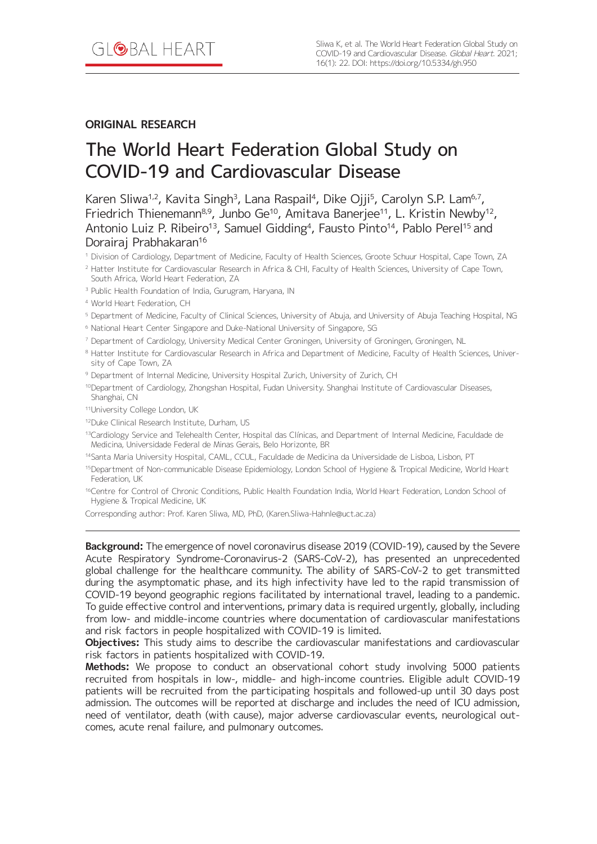# **ORIGINAL RESEARCH**

# The World Heart Federation Global Study on COVID-19 and Cardiovascular Disease

Karen Sliwa<sup>1,2</sup>, Kavita Singh<sup>3</sup>, Lana Raspail<sup>4</sup>, Dike Ojji<sup>5</sup>, Carolyn S.P. Lam<sup>6,7</sup>, Friedrich Thienemann<sup>8,9</sup>, Junbo Ge<sup>10</sup>, Amitava Banerjee<sup>11</sup>, L. Kristin Newby<sup>12</sup>, Antonio Luiz P. Ribeiro<sup>13</sup>, Samuel Gidding<sup>4</sup>, Fausto Pinto<sup>14</sup>, Pablo Perel<sup>15</sup> and Dorairaj Prabhakaran<sup>16</sup>

<sup>1</sup> Division of Cardiology, Department of Medicine, Faculty of Health Sciences, Groote Schuur Hospital, Cape Town, ZA

<sup>2</sup> Hatter Institute for Cardiovascular Research in Africa & CHI, Faculty of Health Sciences, University of Cape Town, South Africa, World Heart Federation, ZA

<sup>3</sup> Public Health Foundation of India, Gurugram, Haryana, IN

<sup>4</sup> World Heart Federation, CH

<sup>5</sup> Department of Medicine, Faculty of Clinical Sciences, University of Abuja, and University of Abuja Teaching Hospital, NG

<sup>6</sup> National Heart Center Singapore and Duke-National University of Singapore, SG

<sup>7</sup> Department of Cardiology, University Medical Center Groningen, University of Groningen, Groningen, NL

8 Hatter Institute for Cardiovascular Research in Africa and Department of Medicine, Faculty of Health Sciences, University of Cape Town, ZA

<sup>9</sup> Department of Internal Medicine, University Hospital Zurich, University of Zurich, CH

10Department of Cardiology, Zhongshan Hospital, Fudan University. Shanghai Institute of Cardiovascular Diseases, Shanghai, CN

11 University College London, UK

<sup>12</sup>Duke Clinical Research Institute, Durham, US

13Cardiology Service and Telehealth Center, Hospital das Clínicas, and Department of Internal Medicine, Faculdade de Medicina, Universidade Federal de Minas Gerais, Belo Horizonte, BR

14 Santa Maria University Hospital, CAML, CCUL, Faculdade de Medicina da Universidade de Lisboa, Lisbon, PT

<sup>15</sup>Department of Non-communicable Disease Epidemiology, London School of Hygiene & Tropical Medicine, World Heart Federation, UK

<sup>16</sup>Centre for Control of Chronic Conditions, Public Health Foundation India, World Heart Federation, London School of Hygiene & Tropical Medicine, UK

Corresponding author: Prof. Karen Sliwa, MD, PhD, [\(Karen.Sliwa-Hahnle@uct.ac.za](mailto:Karen.Sliwa-Hahnle@uct.ac.za))

**Background:** The emergence of novel coronavirus disease 2019 (COVID-19), caused by the Severe Acute Respiratory Syndrome-Coronavirus-2 (SARS-CoV-2), has presented an unprecedented global challenge for the healthcare community. The ability of SARS-CoV-2 to get transmitted during the asymptomatic phase, and its high infectivity have led to the rapid transmission of COVID-19 beyond geographic regions facilitated by international travel, leading to a pandemic. To guide effective control and interventions, primary data is required urgently, globally, including from low- and middle-income countries where documentation of cardiovascular manifestations and risk factors in people hospitalized with COVID-19 is limited.

**Objectives:** This study aims to describe the cardiovascular manifestations and cardiovascular risk factors in patients hospitalized with COVID-19.

**Methods:** We propose to conduct an observational cohort study involving 5000 patients recruited from hospitals in low-, middle- and high-income countries. Eligible adult COVID-19 patients will be recruited from the participating hospitals and followed-up until 30 days post admission. The outcomes will be reported at discharge and includes the need of ICU admission, need of ventilator, death (with cause), major adverse cardiovascular events, neurological outcomes, acute renal failure, and pulmonary outcomes.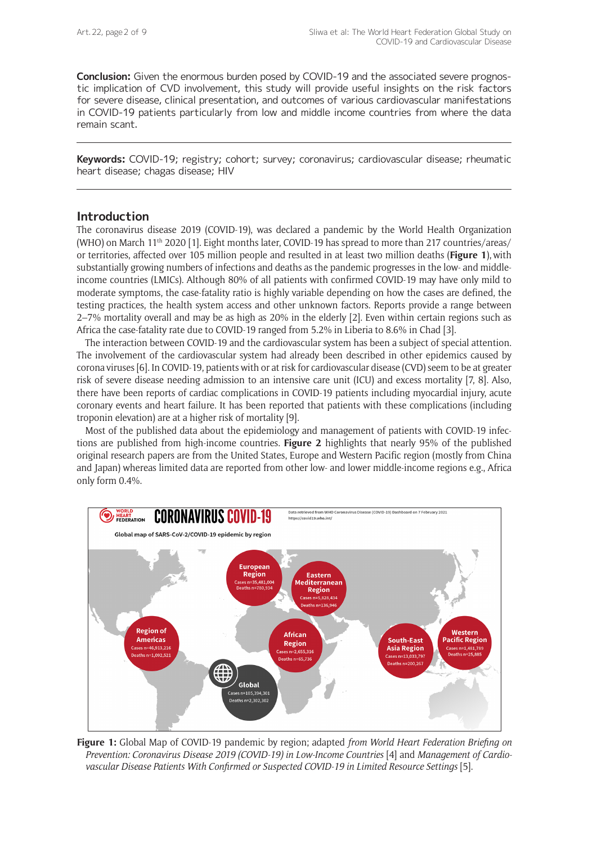**Conclusion:** Given the enormous burden posed by COVID-19 and the associated severe prognostic implication of CVD involvement, this study will provide useful insights on the risk factors for severe disease, clinical presentation, and outcomes of various cardiovascular manifestations in COVID-19 patients particularly from low and middle income countries from where the data remain scant.

**Keywords:** COVID-19; registry; cohort; survey; coronavirus; cardiovascular disease; rheumatic heart disease; chagas disease; HIV

## **Introduction**

The coronavirus disease 2019 (COVID-19), was declared a pandemic by the World Health Organization (WHO) on March 11th 2020 [1]. Eight months later, COVID-19 has spread to more than 217 countries/areas/ or territories, affected over 105 million people and resulted in at least two million deaths (**Figure 1**),with substantially growing numbers of infections and deaths as the pandemic progresses in the low- and middleincome countries (LMICs). Although 80% of all patients with confirmed COVID-19 may have only mild to moderate symptoms, the case-fatality ratio is highly variable depending on how the cases are defined, the testing practices, the health system access and other unknown factors. Reports provide a range between 2–7% mortality overall and may be as high as 20% in the elderly [2]. Even within certain regions such as Africa the case-fatality rate due to COVID-19 ranged from 5.2% in Liberia to 8.6% in Chad [3].

The interaction between COVID-19 and the cardiovascular system has been a subject of special attention. The involvement of the cardiovascular system had already been described in other epidemics caused by corona viruses [6]. In COVID-19, patients with or at risk for cardiovascular disease (CVD) seem to be at greater risk of severe disease needing admission to an intensive care unit (ICU) and excess mortality [7, 8]. Also, there have been reports of cardiac complications in COVID-19 patients including myocardial injury, acute coronary events and heart failure. It has been reported that patients with these complications (including troponin elevation) are at a higher risk of mortality [9].

Most of the published data about the epidemiology and management of patients with COVID-19 infections are published from high-income countries. **Figure 2** highlights that nearly 95% of the published original research papers are from the United States, Europe and Western Pacific region (mostly from China and Japan) whereas limited data are reported from other low- and lower middle-income regions e.g., Africa only form 0.4%.



**Figure 1:** Global Map of COVID-19 pandemic by region; adapted *from World Heart Federation Briefing on Prevention: Coronavirus Disease 2019 (COVID-19) in Low-Income Countries* [4] and *Management of Cardiovascular Disease Patients With Confirmed or Suspected COVID-19 in Limited Resource Settings* [5].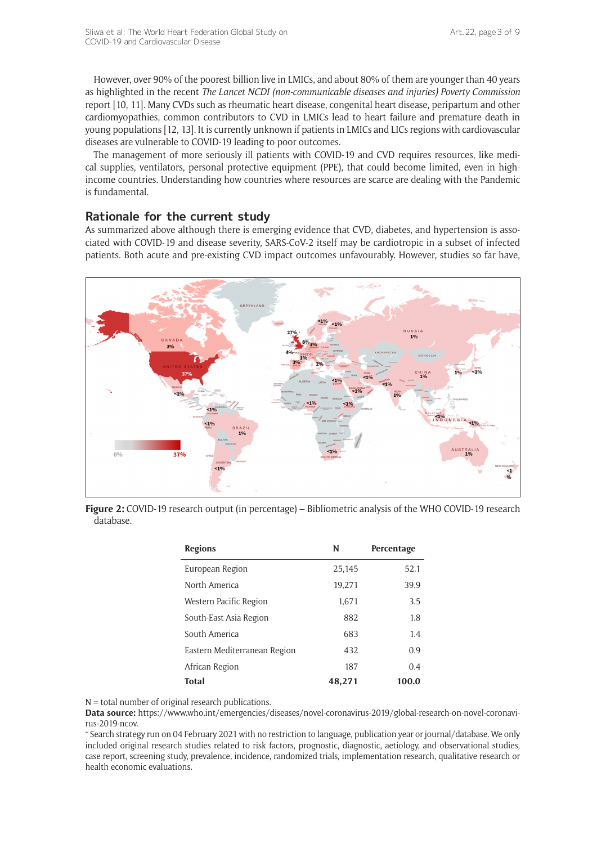However, over 90% of the poorest billion live in LMICs, and about 80% of them are younger than 40 years as highlighted in the recent *The Lancet NCDI (non-communicable diseases and injuries) Poverty Commission* report [10, 11]. Many CVDs such as rheumatic heart disease, congenital heart disease, peripartum and other cardiomyopathies, common contributors to CVD in LMICs lead to heart failure and premature death in young populations [12, 13]. It is currently unknown if patients in LMICs and LICs regions with cardiovascular diseases are vulnerable to COVID-19 leading to poor outcomes.

The management of more seriously ill patients with COVID-19 and CVD requires resources, like medical supplies, ventilators, personal protective equipment (PPE), that could become limited, even in highincome countries. Understanding how countries where resources are scarce are dealing with the Pandemic is fundamental.

## **Rationale for the current study**

As summarized above although there is emerging evidence that CVD, diabetes, and hypertension is associated with COVID-19 and disease severity, SARS-CoV-2 itself may be cardiotropic in a subset of infected patients. Both acute and pre-existing CVD impact outcomes unfavourably. However, studies so far have,



**Figure 2:** COVID-19 research output (in percentage) – Bibliometric analysis of the WHO COVID-19 research database.

| <b>Regions</b>               | N      | Percentage |
|------------------------------|--------|------------|
| European Region              | 25,145 | 52.1       |
| North America                | 19,271 | 39.9       |
| Western Pacific Region       | 1.671  | 3.5        |
| South-East Asia Region       | 882    | 1.8        |
| South America                | 683    | 1.4        |
| Eastern Mediterranean Region | 432    | 0.9        |
| African Region               | 187    | 0.4        |
| Total                        | 48,271 | 100.0      |

 $N =$  total number of original research publications.

**Data source:** [https://www.who.int/emergencies/diseases/novel-coronavirus-2019/global-research-on-novel-coronavi](https://www.who.int/emergencies/diseases/novel-coronavirus-2019/global-research-on-novel-coronavirus-2019-ncov)[rus-2019-ncov](https://www.who.int/emergencies/diseases/novel-coronavirus-2019/global-research-on-novel-coronavirus-2019-ncov).

\* Search strategy run on 04 February 2021 with no restriction to language, publication year or journal/database. We only included original research studies related to risk factors, prognostic, diagnostic, aetiology, and observational studies, case report, screening study, prevalence, incidence, randomized trials, implementation research, qualitative research or health economic evaluations.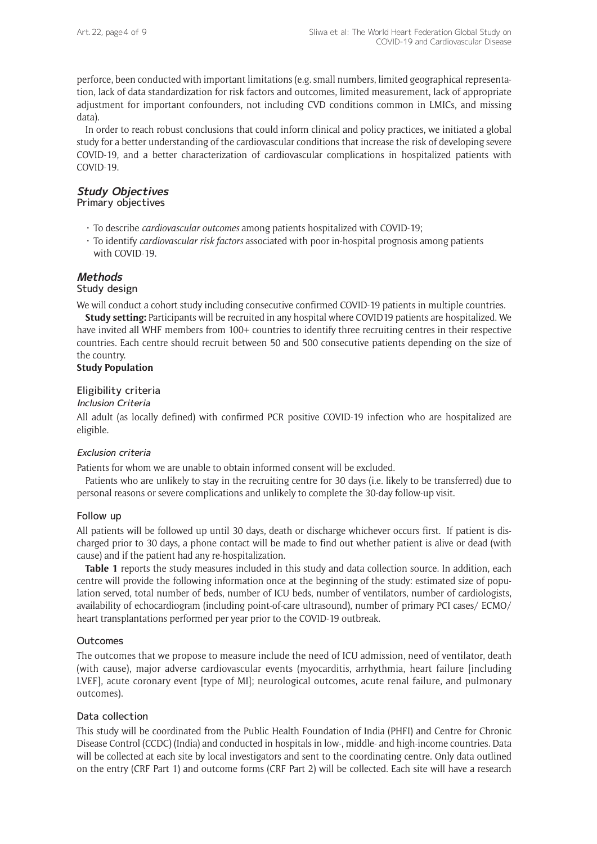perforce, been conducted with important limitations (e.g. small numbers, limited geographical representation, lack of data standardization for risk factors and outcomes, limited measurement, lack of appropriate adjustment for important confounders, not including CVD conditions common in LMICs, and missing data).

In order to reach robust conclusions that could inform clinical and policy practices, we initiated a global study for a better understanding of the cardiovascular conditions that increase the risk of developing severe COVID-19, and a better characterization of cardiovascular complications in hospitalized patients with COVID-19.

# **Study Objectives**

Primary objectives

- • To describe *cardiovascular outcomes* among patients hospitalized with COVID-19;
- • To identify *cardiovascular risk factors* associated with poor in-hospital prognosis among patients with COVID-19.

# **[Methods](Methods )**

#### Study design

We will conduct a cohort study including consecutive confirmed COVID-19 patients in multiple countries.

**Study setting:** Participants will be recruited in any hospital where COVID19 patients are hospitalized. We have invited all WHF members from 100+ countries to identify three recruiting centres in their respective countries. Each centre should recruit between 50 and 500 consecutive patients depending on the size of the country.

#### **Study Population**

#### Eligibility criteria

#### Inclusion Criteria

All adult (as locally defined) with confirmed PCR positive COVID-19 infection who are hospitalized are eligible.

#### Exclusion criteria

Patients for whom we are unable to obtain informed consent will be excluded.

Patients who are unlikely to stay in the recruiting centre for 30 days (i.e. likely to be transferred) due to personal reasons or severe complications and unlikely to complete the 30-day follow-up visit.

#### Follow up

All patients will be followed up until 30 days, death or discharge whichever occurs first. If patient is discharged prior to 30 days, a phone contact will be made to find out whether patient is alive or dead (with cause) and if the patient had any re-hospitalization.

**Table 1** reports the study measures included in this study and data collection source. In addition, each centre will provide the following information once at the beginning of the study: estimated size of population served, total number of beds, number of ICU beds, number of ventilators, number of cardiologists, availability of echocardiogram (including point-of-care ultrasound), number of primary PCI cases/ ECMO/ heart transplantations performed per year prior to the COVID-19 outbreak.

#### **Outcomes**

The outcomes that we propose to measure include the need of ICU admission, need of ventilator, death (with cause), major adverse cardiovascular events (myocarditis, arrhythmia, heart failure [including LVEF], acute coronary event [type of MI]; neurological outcomes, acute renal failure, and pulmonary outcomes).

#### Data collection

This study will be coordinated from the Public Health Foundation of India (PHFI) and Centre for Chronic Disease Control (CCDC) (India) and conducted in hospitals in low-, middle- and high-income countries. Data will be collected at each site by local investigators and sent to the coordinating centre. Only data outlined on the entry (CRF Part 1) and outcome forms (CRF Part 2) will be collected. Each site will have a research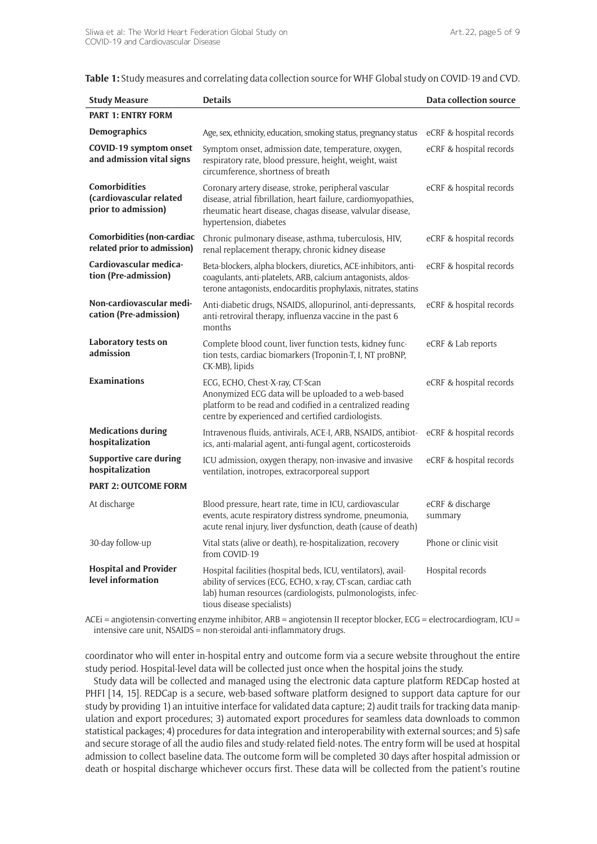**Table 1:** Study measures and correlating data collection source for WHF Global study on COVID-19 and CVD.

| <b>Study Measure</b>                                            | <b>Details</b>                                                                                                                                                                                                             | Data collection source      |
|-----------------------------------------------------------------|----------------------------------------------------------------------------------------------------------------------------------------------------------------------------------------------------------------------------|-----------------------------|
| <b>PART 1: ENTRY FORM</b>                                       |                                                                                                                                                                                                                            |                             |
| <b>Demographics</b>                                             | Age, sex, ethnicity, education, smoking status, pregnancy status                                                                                                                                                           | eCRF & hospital records     |
| <b>COVID-19 symptom onset</b><br>and admission vital signs      | Symptom onset, admission date, temperature, oxygen,<br>respiratory rate, blood pressure, height, weight, waist<br>circumference, shortness of breath                                                                       | eCRF & hospital records     |
| Comorbidities<br>(cardiovascular related<br>prior to admission) | Coronary artery disease, stroke, peripheral vascular<br>disease, atrial fibrillation, heart failure, cardiomyopathies,<br>rheumatic heart disease, chagas disease, valvular disease,<br>hypertension, diabetes             | eCRF & hospital records     |
| Comorbidities (non-cardiac<br>related prior to admission)       | Chronic pulmonary disease, asthma, tuberculosis, HIV,<br>renal replacement therapy, chronic kidney disease                                                                                                                 | eCRF & hospital records     |
| Cardiovascular medica-<br>tion (Pre-admission)                  | Beta-blockers, alpha blockers, diuretics, ACE-inhibitors, anti-<br>coagulants, anti-platelets, ARB, calcium antagonists, aldos-<br>terone antagonists, endocarditis prophylaxis, nitrates, statins                         | eCRF & hospital records     |
| Non-cardiovascular medi-<br>cation (Pre-admission)              | Anti-diabetic drugs, NSAIDS, allopurinol, anti-depressants,<br>anti-retroviral therapy, influenza vaccine in the past 6<br>months                                                                                          | eCRF & hospital records     |
| Laboratory tests on<br>admission                                | Complete blood count, liver function tests, kidney func-<br>tion tests, cardiac biomarkers (Troponin-T, I, NT proBNP,<br>CK-MB), lipids                                                                                    | eCRF & Lab reports          |
| <b>Examinations</b>                                             | ECG, ECHO, Chest-X-ray, CT-Scan<br>Anonymized ECG data will be uploaded to a web-based<br>platform to be read and codified in a centralized reading<br>centre by experienced and certified cardiologists.                  | eCRF & hospital records     |
| <b>Medications during</b><br>hospitalization                    | Intravenous fluids, antivirals, ACE-I, ARB, NSAIDS, antibiot-<br>ics, anti-malarial agent, anti-fungal agent, corticosteroids                                                                                              | eCRF & hospital records     |
| <b>Supportive care during</b><br>hospitalization                | ICU admission, oxygen therapy, non-invasive and invasive<br>ventilation, inotropes, extracorporeal support                                                                                                                 | eCRF & hospital records     |
| <b>PART 2: OUTCOME FORM</b>                                     |                                                                                                                                                                                                                            |                             |
| At discharge                                                    | Blood pressure, heart rate, time in ICU, cardiovascular<br>events, acute respiratory distress syndrome, pneumonia,<br>acute renal injury, liver dysfunction, death (cause of death)                                        | eCRF & discharge<br>summary |
| 30-day follow-up                                                | Vital stats (alive or death), re-hospitalization, recovery<br>from COVID-19                                                                                                                                                | Phone or clinic visit       |
| <b>Hospital and Provider</b><br>level information               | Hospital facilities (hospital beds, ICU, ventilators), avail-<br>ability of services (ECG, ECHO, x-ray, CT-scan, cardiac cath<br>lab) human resources (cardiologists, pulmonologists, infec-<br>tious disease specialists) | Hospital records            |

ACEi = angiotensin-converting enzyme inhibitor, ARB = angiotensin II receptor blocker, ECG = electrocardiogram, ICU = intensive care unit, NSAIDS = non-steroidal anti-inflammatory drugs.

coordinator who will enter in-hospital entry and outcome form via a secure website throughout the entire study period. Hospital-level data will be collected just once when the hospital joins the study.

Study data will be collected and managed using the electronic data capture platform REDCap hosted at PHFI [14, 15]. REDCap is a secure, web-based software platform designed to support data capture for our study by providing 1) an intuitive interface for validated data capture; 2) audit trails for tracking data manipulation and export procedures; 3) automated export procedures for seamless data downloads to common statistical packages; 4) procedures for data integration and interoperability with external sources; and 5) safe and secure storage of all the audio files and study-related field-notes. The entry form will be used at hospital admission to collect baseline data. The outcome form will be completed 30 days after hospital admission or death or hospital discharge whichever occurs first. These data will be collected from the patient's routine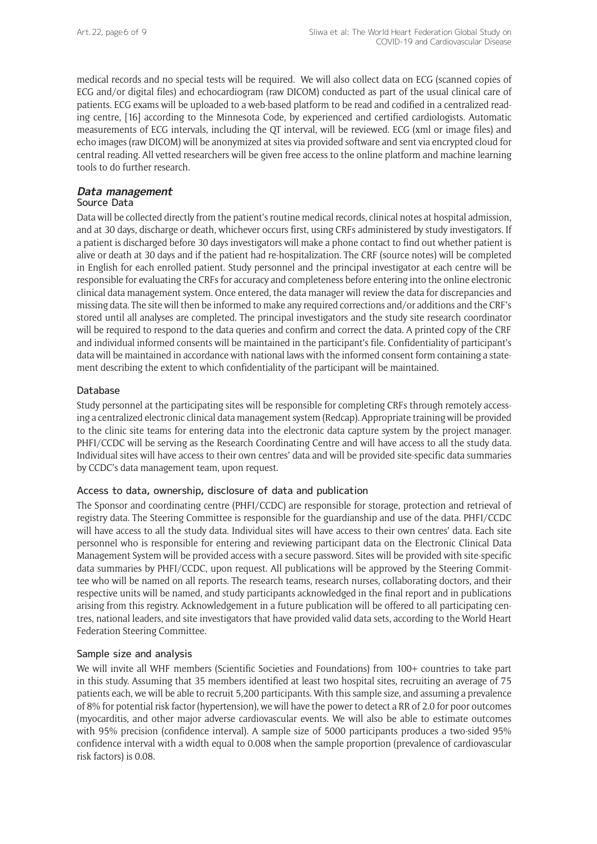medical records and no special tests will be required. We will also collect data on ECG (scanned copies of ECG and/or digital files) and echocardiogram (raw DICOM) conducted as part of the usual clinical care of patients. ECG exams will be uploaded to a web-based platform to be read and codified in a centralized reading centre, [16] according to the Minnesota Code, by experienced and certified cardiologists. Automatic measurements of ECG intervals, including the QT interval, will be reviewed. ECG (xml or image files) and echo images (raw DICOM) will be anonymized at sites via provided software and sent via encrypted cloud for central reading. All vetted researchers will be given free access to the online platform and machine learning tools to do further research.

## **Data management**

#### Source Data

Data will be collected directly from the patient's routine medical records, clinical notes at hospital admission, and at 30 days, discharge or death, whichever occurs first, using CRFs administered by study investigators. If a patient is discharged before 30 days investigators will make a phone contact to find out whether patient is alive or death at 30 days and if the patient had re-hospitalization. The CRF (source notes) will be completed in English for each enrolled patient. Study personnel and the principal investigator at each centre will be responsible for evaluating the CRFs for accuracy and completeness before entering into the online electronic clinical data management system. Once entered, the data manager will review the data for discrepancies and missing data. The site will then be informed to make any required corrections and/or additions and the CRF's stored until all analyses are completed. The principal investigators and the study site research coordinator will be required to respond to the data queries and confirm and correct the data. A printed copy of the CRF and individual informed consents will be maintained in the participant's file. Confidentiality of participant's data will be maintained in accordance with national laws with the informed consent form containing a statement describing the extent to which confidentiality of the participant will be maintained.

#### Database

Study personnel at the participating sites will be responsible for completing CRFs through remotely accessing a centralized electronic clinical data management system (Redcap). Appropriate training will be provided to the clinic site teams for entering data into the electronic data capture system by the project manager. PHFI/CCDC will be serving as the Research Coordinating Centre and will have access to all the study data. Individual sites will have access to their own centres' data and will be provided site-specific data summaries by CCDC's data management team, upon request.

## Access to data, ownership, disclosure of data and publication

The Sponsor and coordinating centre (PHFI/CCDC) are responsible for storage, protection and retrieval of registry data. The Steering Committee is responsible for the guardianship and use of the data. PHFI/CCDC will have access to all the study data. Individual sites will have access to their own centres' data. Each site personnel who is responsible for entering and reviewing participant data on the Electronic Clinical Data Management System will be provided access with a secure password. Sites will be provided with site-specific data summaries by PHFI/CCDC, upon request. All publications will be approved by the Steering Committee who will be named on all reports. The research teams, research nurses, collaborating doctors, and their respective units will be named, and study participants acknowledged in the final report and in publications arising from this registry. Acknowledgement in a future publication will be offered to all participating centres, national leaders, and site investigators that have provided valid data sets, according to the World Heart Federation Steering Committee.

## Sample size and analysis

We will invite all WHF members (Scientific Societies and Foundations) from 100+ countries to take part in this study. Assuming that 35 members identified at least two hospital sites, recruiting an average of 75 patients each, we will be able to recruit 5,200 participants. With this sample size, and assuming a prevalence of 8% for potential risk factor (hypertension), we will have the power to detect a RR of 2.0 for poor outcomes (myocarditis, and other major adverse cardiovascular events. We will also be able to estimate outcomes with 95% precision (confidence interval). A sample size of 5000 participants produces a two-sided 95% confidence interval with a width equal to 0.008 when the sample proportion (prevalence of cardiovascular risk factors) is 0.08.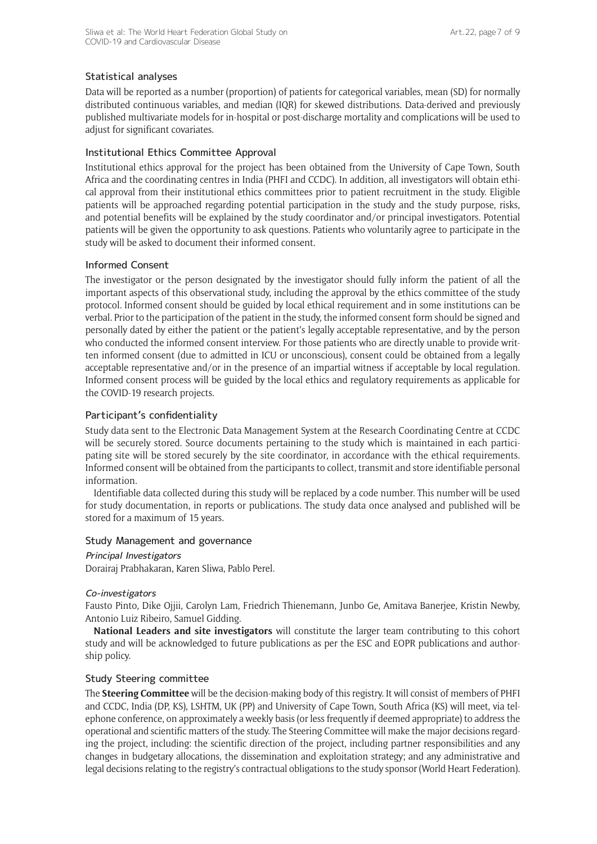## Statistical analyses

Data will be reported as a number (proportion) of patients for categorical variables, mean (SD) for normally distributed continuous variables, and median (IQR) for skewed distributions. Data-derived and previously published multivariate models for in-hospital or post-discharge mortality and complications will be used to adjust for significant covariates.

## Institutional Ethics Committee Approval

Institutional ethics approval for the project has been obtained from the University of Cape Town, South Africa and the coordinating centres in India (PHFI and CCDC). In addition, all investigators will obtain ethical approval from their institutional ethics committees prior to patient recruitment in the study. Eligible patients will be approached regarding potential participation in the study and the study purpose, risks, and potential benefits will be explained by the study coordinator and/or principal investigators. Potential patients will be given the opportunity to ask questions. Patients who voluntarily agree to participate in the study will be asked to document their informed consent.

## Informed Consent

The investigator or the person designated by the investigator should fully inform the patient of all the important aspects of this observational study, including the approval by the ethics committee of the study protocol. Informed consent should be guided by local ethical requirement and in some institutions can be verbal. Prior to the participation of the patient in the study, the informed consent form should be signed and personally dated by either the patient or the patient's legally acceptable representative, and by the person who conducted the informed consent interview. For those patients who are directly unable to provide written informed consent (due to admitted in ICU or unconscious), consent could be obtained from a legally acceptable representative and/or in the presence of an impartial witness if acceptable by local regulation. Informed consent process will be guided by the local ethics and regulatory requirements as applicable for the COVID-19 research projects.

## Participant's confidentiality

Study data sent to the Electronic Data Management System at the Research Coordinating Centre at CCDC will be securely stored. Source documents pertaining to the study which is maintained in each participating site will be stored securely by the site coordinator, in accordance with the ethical requirements. Informed consent will be obtained from the participants to collect, transmit and store identifiable personal information.

Identifiable data collected during this study will be replaced by a code number. This number will be used for study documentation, in reports or publications. The study data once analysed and published will be stored for a maximum of 15 years.

## Study Management and governance

#### Principal Investigators

Dorairaj Prabhakaran, Karen Sliwa, Pablo Perel.

#### Co-investigators

Fausto Pinto, Dike Ojjii, Carolyn Lam, Friedrich Thienemann, Junbo Ge, Amitava Banerjee, Kristin Newby, Antonio Luiz Ribeiro, Samuel Gidding.

**National Leaders and site investigators** will constitute the larger team contributing to this cohort study and will be acknowledged to future publications as per the ESC and EOPR publications and authorship policy.

## Study Steering committee

The **Steering Committee** will be the decision-making body of this registry. It will consist of members of PHFI and CCDC, India (DP, KS), LSHTM, UK (PP) and University of Cape Town, South Africa (KS) will meet, via telephone conference, on approximately a weekly basis (or less frequently if deemed appropriate) to address the operational and scientific matters of the study. The Steering Committee will make the major decisions regarding the project, including: the scientific direction of the project, including partner responsibilities and any changes in budgetary allocations, the dissemination and exploitation strategy; and any administrative and legal decisions relating to the registry's contractual obligations to the study sponsor (World Heart Federation).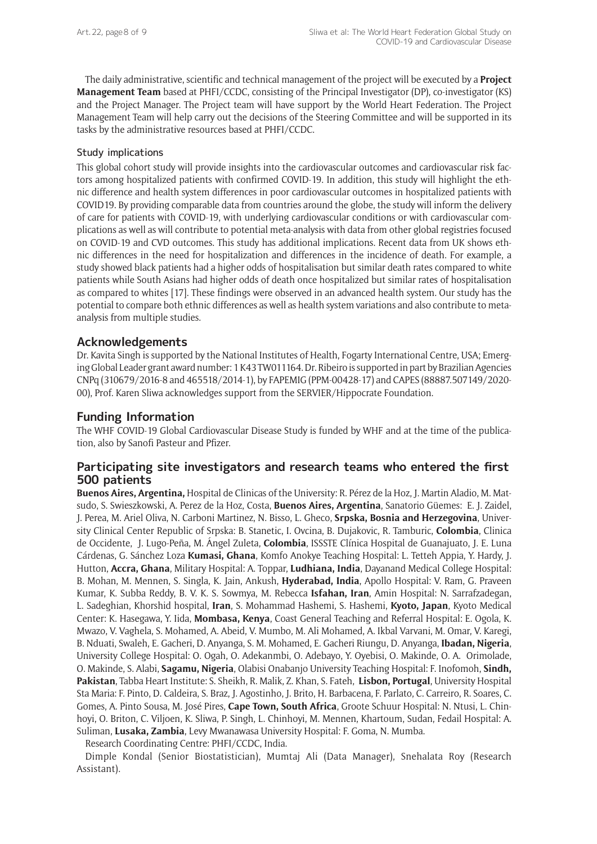The daily administrative, scientific and technical management of the project will be executed by a **Project Management Team** based at PHFI/CCDC, consisting of the Principal Investigator (DP), co-investigator (KS) and the Project Manager. The Project team will have support by the World Heart Federation. The Project Management Team will help carry out the decisions of the Steering Committee and will be supported in its tasks by the administrative resources based at PHFI/CCDC.

#### Study implications

This global cohort study will provide insights into the cardiovascular outcomes and cardiovascular risk factors among hospitalized patients with confirmed COVID-19. In addition, this study will highlight the ethnic difference and health system differences in poor cardiovascular outcomes in hospitalized patients with COVID19. By providing comparable data from countries around the globe, the study will inform the delivery of care for patients with COVID-19, with underlying cardiovascular conditions or with cardiovascular complications as well as will contribute to potential meta-analysis with data from other global registries focused on COVID-19 and CVD outcomes. This study has additional implications. Recent data from UK shows ethnic differences in the need for hospitalization and differences in the incidence of death. For example, a study showed black patients had a higher odds of hospitalisation but similar death rates compared to white patients while South Asians had higher odds of death once hospitalized but similar rates of hospitalisation as compared to whites [17]. These findings were observed in an advanced health system. Our study has the potential to compare both ethnic differences as well as health system variations and also contribute to metaanalysis from multiple studies.

## **Acknowledgements**

Dr. Kavita Singh is supported by the National Institutes of Health, Fogarty International Centre, USA; Emerging Global Leader grant award number: 1 K43 TW011164. Dr. Ribeiro is supported in part by Brazilian Agencies CNPq (310679/2016-8 and 465518/2014-1), by FAPEMIG (PPM-00428-17) and CAPES (88887.507149/2020- 00), Prof. Karen Sliwa acknowledges support from the SERVIER/Hippocrate Foundation.

## **Funding Information**

The WHF COVID-19 Global Cardiovascular Disease Study is funded by WHF and at the time of the publication, also by Sanofi Pasteur and Pfizer.

## **Participating site investigators and research teams who entered the first 500 patients**

**Buenos Aires, Argentina,** Hospital de Clinicas of the University: R. Pérez de la Hoz, J. Martin Aladio, M. Matsudo, S. Swieszkowski, A. Perez de la Hoz, Costa, **Buenos Aires, Argentina**, Sanatorio Güemes: E. J. Zaidel, J. Perea, M. Ariel Oliva, N. Carboni Martinez, N. Bisso, L. Gheco, **Srpska, Bosnia and Herzegovina**, University Clinical Center Republic of Srpska: B. Stanetic, I. Ovcina, B. Dujakovic, R. Tamburic, **Colombia**, Clinica de Occidente, J. Lugo-Peña, M. Ángel Zuleta, **Colombia**, ISSSTE Clínica Hospital de Guanajuato, J. E. Luna Cárdenas, G. Sánchez Loza **Kumasi, Ghana**, Komfo Anokye Teaching Hospital: L. Tetteh Appia, Y. Hardy, J. Hutton, **Accra, Ghana**, Military Hospital: A. Toppar, **Ludhiana, India**, Dayanand Medical College Hospital: B. Mohan, M. Mennen, S. Singla, K. Jain, Ankush, **Hyderabad, India**, Apollo Hospital: V. Ram, G. Praveen Kumar, K. Subba Reddy, B. V. K. S. Sowmya, M. Rebecca **Isfahan, Iran**, Amin Hospital: N. Sarrafzadegan, L. Sadeghian, Khorshid hospital, **Iran**, S. Mohammad Hashemi, S. Hashemi, **Kyoto, Japan**, Kyoto Medical Center: K. Hasegawa, Y. Iida, **Mombasa, Kenya**, Coast General Teaching and Referral Hospital: E. Ogola, K. Mwazo, V. Vaghela, S. Mohamed, A. Abeid, V. Mumbo, M. Ali Mohamed, A. Ikbal Varvani, M. Omar, V. Karegi, B. Nduati, Swaleh, E. Gacheri, D. Anyanga, S. M. Mohamed, E. Gacheri Riungu, D. Anyanga, **Ibadan, Nigeria**, University College Hospital: O. Ogah, O. Adekanmbi, O. Adebayo, Y. Oyebisi, O. Makinde, O. A. Orimolade, O. Makinde, S. Alabi, **Sagamu, Nigeria**, Olabisi Onabanjo University Teaching Hospital: F. Inofomoh, **Sindh, Pakistan**, Tabba Heart Institute: S. Sheikh, R. Malik, Z. Khan, S. Fateh, **Lisbon, Portugal**, University Hospital Sta Maria: F. Pinto, D. Caldeira, S. Braz, J. Agostinho, J. Brito, H. Barbacena, F. Parlato, C. Carreiro, R. Soares, C. Gomes, A. Pinto Sousa, M. José Pires, **Cape Town, South Africa**, Groote Schuur Hospital: N. Ntusi, L. Chinhoyi, O. Briton, C. Viljoen, K. Sliwa, P. Singh, L. Chinhoyi, M. Mennen, Khartoum, Sudan, Fedail Hospital: A. Suliman, **Lusaka, Zambia**, Levy Mwanawasa University Hospital: F. Goma, N. Mumba.

Research Coordinating Centre: PHFI/CCDC, India.

Dimple Kondal (Senior Biostatistician), Mumtaj Ali (Data Manager), Snehalata Roy (Research Assistant).